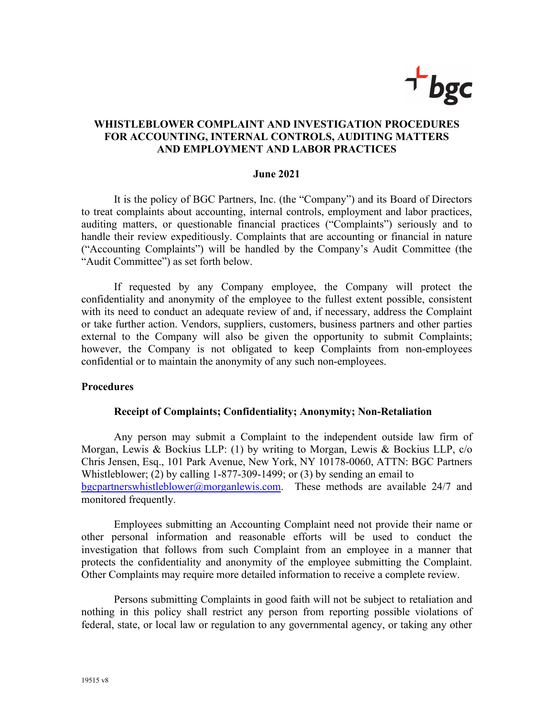

# **WHISTLEBLOWER COMPLAINT AND INVESTIGATION PROCEDURES FOR ACCOUNTING, INTERNAL CONTROLS, AUDITING MATTERS AND EMPLOYMENT AND LABOR PRACTICES**

#### **June 2021**

It is the policy of BGC Partners, Inc. (the "Company") and its Board of Directors to treat complaints about accounting, internal controls, employment and labor practices, auditing matters, or questionable financial practices ("Complaints") seriously and to handle their review expeditiously. Complaints that are accounting or financial in nature ("Accounting Complaints") will be handled by the Company's Audit Committee (the "Audit Committee") as set forth below.

 If requested by any Company employee, the Company will protect the confidentiality and anonymity of the employee to the fullest extent possible, consistent with its need to conduct an adequate review of and, if necessary, address the Complaint or take further action. Vendors, suppliers, customers, business partners and other parties external to the Company will also be given the opportunity to submit Complaints; however, the Company is not obligated to keep Complaints from non-employees confidential or to maintain the anonymity of any such non-employees.

### **Procedures**

#### **Receipt of Complaints; Confidentiality; Anonymity; Non-Retaliation**

Any person may submit a Complaint to the independent outside law firm of Morgan, Lewis & Bockius LLP: (1) by writing to Morgan, Lewis & Bockius LLP, c/o Chris Jensen, Esq., 101 Park Avenue, New York, NY 10178-0060, ATTN: BGC Partners Whistleblower; (2) by calling 1-877-309-1499; or (3) by sending an email to bgcpartnerswhistleblower@morganlewis.com. These methods are available  $24/7$  and monitored frequently.

Employees submitting an Accounting Complaint need not provide their name or other personal information and reasonable efforts will be used to conduct the investigation that follows from such Complaint from an employee in a manner that protects the confidentiality and anonymity of the employee submitting the Complaint. Other Complaints may require more detailed information to receive a complete review.

Persons submitting Complaints in good faith will not be subject to retaliation and nothing in this policy shall restrict any person from reporting possible violations of federal, state, or local law or regulation to any governmental agency, or taking any other